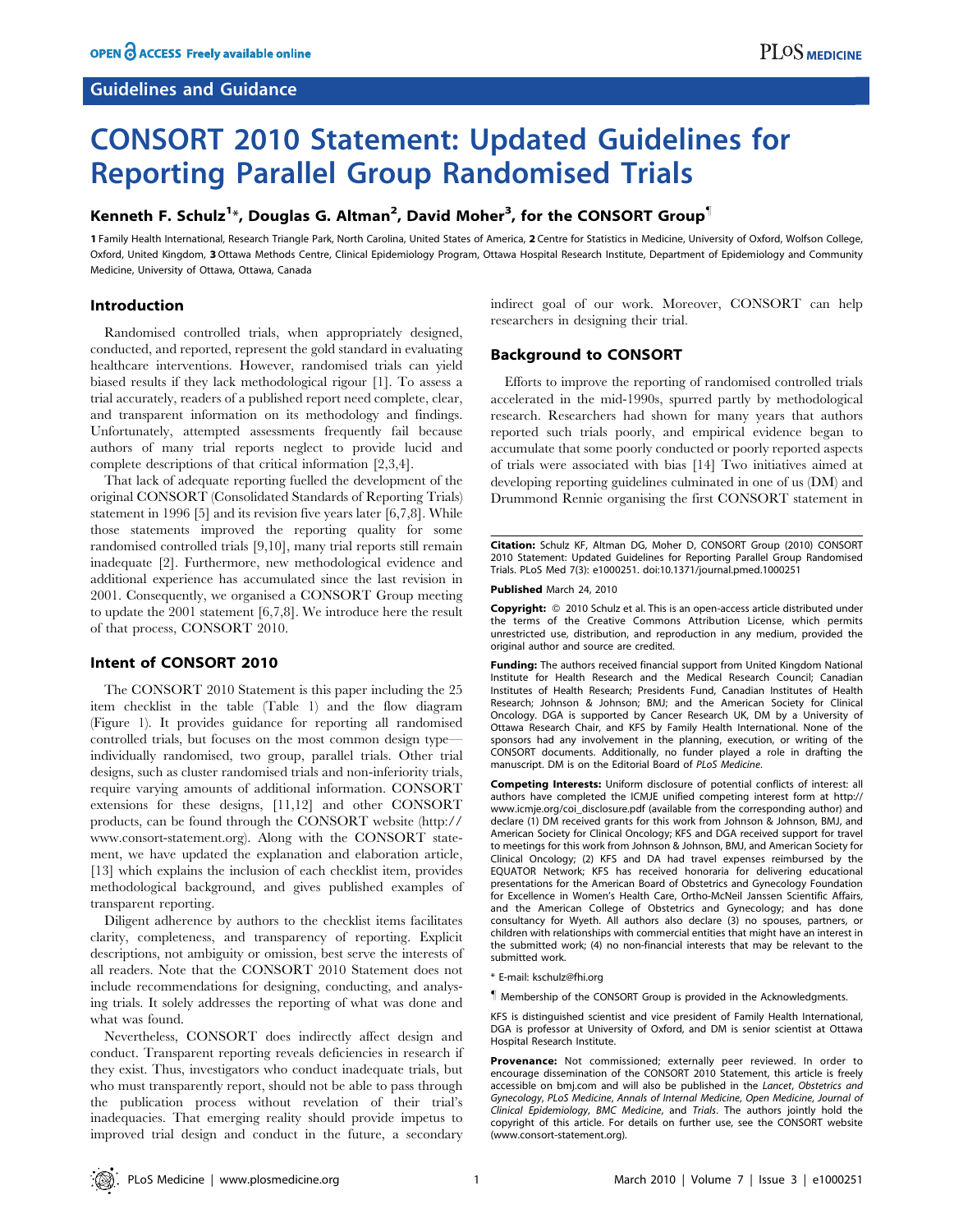# Guidelines and Guidance

# CONSORT 2010 Statement: Updated Guidelines for Reporting Parallel Group Randomised Trials

# Kenneth F. Schulz $^{1*}$ , Douglas G. Altman $^2$ , David Moher $^3$ , for the CONSORT Group $^\P$

1 Family Health International, Research Triangle Park, North Carolina, United States of America, 2 Centre for Statistics in Medicine, University of Oxford, Wolfson College, Oxford, United Kingdom, 3Ottawa Methods Centre, Clinical Epidemiology Program, Ottawa Hospital Research Institute, Department of Epidemiology and Community Medicine, University of Ottawa, Ottawa, Canada

### Introduction

Randomised controlled trials, when appropriately designed, conducted, and reported, represent the gold standard in evaluating healthcare interventions. However, randomised trials can yield biased results if they lack methodological rigour [1]. To assess a trial accurately, readers of a published report need complete, clear, and transparent information on its methodology and findings. Unfortunately, attempted assessments frequently fail because authors of many trial reports neglect to provide lucid and complete descriptions of that critical information [2,3,4].

That lack of adequate reporting fuelled the development of the original CONSORT (Consolidated Standards of Reporting Trials) statement in 1996 [5] and its revision five years later [6,7,8]. While those statements improved the reporting quality for some randomised controlled trials [9,10], many trial reports still remain inadequate [2]. Furthermore, new methodological evidence and additional experience has accumulated since the last revision in 2001. Consequently, we organised a CONSORT Group meeting to update the 2001 statement [6,7,8]. We introduce here the result of that process, CONSORT 2010.

#### Intent of CONSORT 2010

The CONSORT 2010 Statement is this paper including the 25 item checklist in the table (Table 1) and the flow diagram (Figure 1). It provides guidance for reporting all randomised controlled trials, but focuses on the most common design type individually randomised, two group, parallel trials. Other trial designs, such as cluster randomised trials and non-inferiority trials, require varying amounts of additional information. CONSORT extensions for these designs, [11,12] and other CONSORT products, can be found through the CONSORT website (http:// www.consort-statement.org). Along with the CONSORT statement, we have updated the explanation and elaboration article, [13] which explains the inclusion of each checklist item, provides methodological background, and gives published examples of transparent reporting.

Diligent adherence by authors to the checklist items facilitates clarity, completeness, and transparency of reporting. Explicit descriptions, not ambiguity or omission, best serve the interests of all readers. Note that the CONSORT 2010 Statement does not include recommendations for designing, conducting, and analysing trials. It solely addresses the reporting of what was done and what was found.

Nevertheless, CONSORT does indirectly affect design and conduct. Transparent reporting reveals deficiencies in research if they exist. Thus, investigators who conduct inadequate trials, but who must transparently report, should not be able to pass through the publication process without revelation of their trial's inadequacies. That emerging reality should provide impetus to improved trial design and conduct in the future, a secondary indirect goal of our work. Moreover, CONSORT can help researchers in designing their trial.

## Background to CONSORT

Efforts to improve the reporting of randomised controlled trials accelerated in the mid-1990s, spurred partly by methodological research. Researchers had shown for many years that authors reported such trials poorly, and empirical evidence began to accumulate that some poorly conducted or poorly reported aspects of trials were associated with bias [14] Two initiatives aimed at developing reporting guidelines culminated in one of us (DM) and Drummond Rennie organising the first CONSORT statement in

Citation: Schulz KF, Altman DG, Moher D, CONSORT Group (2010) CONSORT 2010 Statement: Updated Guidelines for Reporting Parallel Group Randomised Trials. PLoS Med 7(3): e1000251. doi:10.1371/journal.pmed.1000251

#### Published March 24, 2010

Copyright: © 2010 Schulz et al. This is an open-access article distributed under the terms of the Creative Commons Attribution License, which permits unrestricted use, distribution, and reproduction in any medium, provided the original author and source are credited.

Funding: The authors received financial support from United Kingdom National Institute for Health Research and the Medical Research Council; Canadian Institutes of Health Research; Presidents Fund, Canadian Institutes of Health Research; Johnson & Johnson; BMJ; and the American Society for Clinical Oncology. DGA is supported by Cancer Research UK, DM by a University of Ottawa Research Chair, and KFS by Family Health International. None of the sponsors had any involvement in the planning, execution, or writing of the CONSORT documents. Additionally, no funder played a role in drafting the manuscript. DM is on the Editorial Board of PLoS Medicine.

Competing Interests: Uniform disclosure of potential conflicts of interest: all authors have completed the ICMJE unified competing interest form at http:// www.icmje.org/coi\_disclosure.pdf (available from the corresponding author) and declare (1) DM received grants for this work from Johnson & Johnson, BMJ, and American Society for Clinical Oncology; KFS and DGA received support for travel to meetings for this work from Johnson & Johnson, BMJ, and American Society for Clinical Oncology; (2) KFS and DA had travel expenses reimbursed by the EQUATOR Network; KFS has received honoraria for delivering educational presentations for the American Board of Obstetrics and Gynecology Foundation for Excellence in Women's Health Care, Ortho-McNeil Janssen Scientific Affairs, and the American College of Obstetrics and Gynecology; and has done consultancy for Wyeth. All authors also declare (3) no spouses, partners, or children with relationships with commercial entities that might have an interest in the submitted work; (4) no non-financial interests that may be relevant to the submitted work.

\* E-mail: kschulz@fhi.org

" Membership of the CONSORT Group is provided in the Acknowledgments.

KFS is distinguished scientist and vice president of Family Health International, DGA is professor at University of Oxford, and DM is senior scientist at Ottawa Hospital Research Institute.

**Provenance:** Not commissioned; externally peer reviewed. In order to<br>encourage dissemination of the CONSORT 2010 Statement, this article is freely accessible on bmj.com and will also be published in the Lancet, Obstetrics and Gynecology, PLoS Medicine, Annals of Internal Medicine, Open Medicine, Journal of Clinical Epidemiology, BMC Medicine, and Trials. The authors jointly hold the copyright of this article. For details on further use, see the CONSORT website (www.consort-statement.org).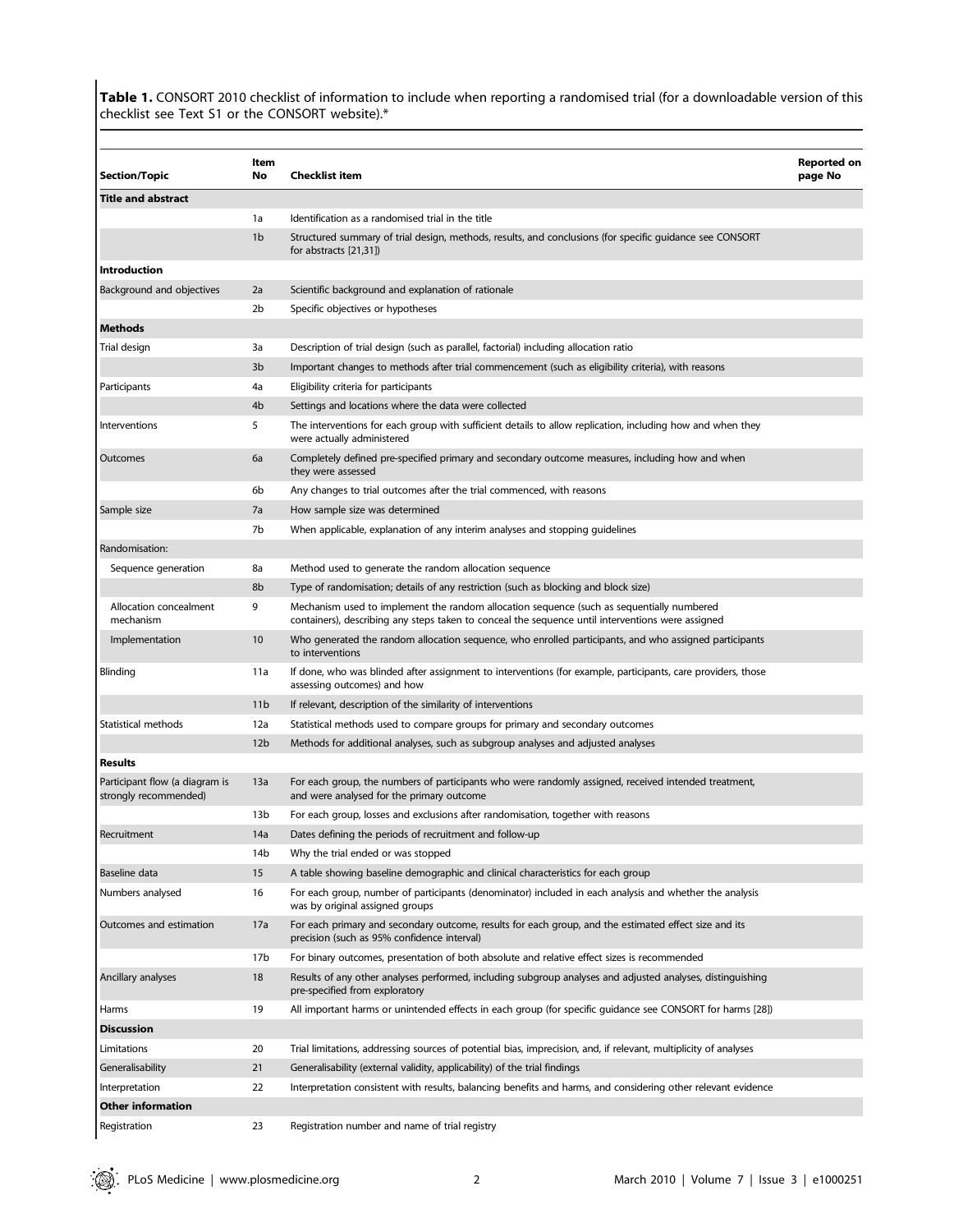Table 1. CONSORT 2010 checklist of information to include when reporting a randomised trial (for a downloadable version of this checklist see Text S1 or the CONSORT website).\*

| Section/Topic                                           | ltem<br>No      | <b>Checklist item</b>                                                                                                                                                                          | Reported on<br>page No |
|---------------------------------------------------------|-----------------|------------------------------------------------------------------------------------------------------------------------------------------------------------------------------------------------|------------------------|
| Title and abstract                                      |                 |                                                                                                                                                                                                |                        |
|                                                         | 1a              | Identification as a randomised trial in the title                                                                                                                                              |                        |
|                                                         | 1b              | Structured summary of trial design, methods, results, and conclusions (for specific guidance see CONSORT<br>for abstracts [21,31])                                                             |                        |
| Introduction                                            |                 |                                                                                                                                                                                                |                        |
| Background and objectives                               | 2a              | Scientific background and explanation of rationale                                                                                                                                             |                        |
|                                                         | 2b              | Specific objectives or hypotheses                                                                                                                                                              |                        |
| <b>Methods</b>                                          |                 |                                                                                                                                                                                                |                        |
| Trial design                                            | За              | Description of trial design (such as parallel, factorial) including allocation ratio                                                                                                           |                        |
|                                                         | 3 <sub>b</sub>  | Important changes to methods after trial commencement (such as eligibility criteria), with reasons                                                                                             |                        |
| Participants                                            | 4a              | Eligibility criteria for participants                                                                                                                                                          |                        |
|                                                         | 4b              | Settings and locations where the data were collected                                                                                                                                           |                        |
| Interventions                                           | 5               | The interventions for each group with sufficient details to allow replication, including how and when they<br>were actually administered                                                       |                        |
| Outcomes                                                | 6a              | Completely defined pre-specified primary and secondary outcome measures, including how and when<br>they were assessed                                                                          |                        |
|                                                         | 6b              | Any changes to trial outcomes after the trial commenced, with reasons                                                                                                                          |                        |
| Sample size                                             | 7a              | How sample size was determined                                                                                                                                                                 |                        |
|                                                         | 7b              | When applicable, explanation of any interim analyses and stopping guidelines                                                                                                                   |                        |
| Randomisation:                                          |                 |                                                                                                                                                                                                |                        |
| Sequence generation                                     | 8a              | Method used to generate the random allocation sequence                                                                                                                                         |                        |
|                                                         | 8b              | Type of randomisation; details of any restriction (such as blocking and block size)                                                                                                            |                        |
| Allocation concealment<br>mechanism                     | 9               | Mechanism used to implement the random allocation sequence (such as sequentially numbered<br>containers), describing any steps taken to conceal the sequence until interventions were assigned |                        |
| Implementation                                          | 10              | Who generated the random allocation sequence, who enrolled participants, and who assigned participants<br>to interventions                                                                     |                        |
| Blinding                                                | 11a             | If done, who was blinded after assignment to interventions (for example, participants, care providers, those<br>assessing outcomes) and how                                                    |                        |
|                                                         | 11 <sub>b</sub> | If relevant, description of the similarity of interventions                                                                                                                                    |                        |
| Statistical methods                                     | 12a             | Statistical methods used to compare groups for primary and secondary outcomes                                                                                                                  |                        |
|                                                         | 12 <sub>b</sub> | Methods for additional analyses, such as subgroup analyses and adjusted analyses                                                                                                               |                        |
| <b>Results</b>                                          |                 |                                                                                                                                                                                                |                        |
| Participant flow (a diagram is<br>strongly recommended) | 13a             | For each group, the numbers of participants who were randomly assigned, received intended treatment,<br>and were analysed for the primary outcome                                              |                        |
|                                                         | 13b             | For each group, losses and exclusions after randomisation, together with reasons                                                                                                               |                        |
| Recruitment                                             | 14a             | Dates defining the periods of recruitment and follow-up                                                                                                                                        |                        |
|                                                         | 14b             | Why the trial ended or was stopped                                                                                                                                                             |                        |
| Baseline data                                           | 15              | A table showing baseline demographic and clinical characteristics for each group                                                                                                               |                        |
| Numbers analysed                                        | 16              | For each group, number of participants (denominator) included in each analysis and whether the analysis<br>was by original assigned groups                                                     |                        |
| Outcomes and estimation                                 | 17a             | For each primary and secondary outcome, results for each group, and the estimated effect size and its<br>precision (such as 95% confidence interval)                                           |                        |
|                                                         | 17b             | For binary outcomes, presentation of both absolute and relative effect sizes is recommended                                                                                                    |                        |
| Ancillary analyses                                      | 18              | Results of any other analyses performed, including subgroup analyses and adjusted analyses, distinguishing<br>pre-specified from exploratory                                                   |                        |
| Harms                                                   | 19              | All important harms or unintended effects in each group (for specific quidance see CONSORT for harms [28])                                                                                     |                        |
| <b>Discussion</b>                                       |                 |                                                                                                                                                                                                |                        |
| Limitations                                             | 20              | Trial limitations, addressing sources of potential bias, imprecision, and, if relevant, multiplicity of analyses                                                                               |                        |
| Generalisability                                        | 21              | Generalisability (external validity, applicability) of the trial findings                                                                                                                      |                        |
| Interpretation                                          | 22              | Interpretation consistent with results, balancing benefits and harms, and considering other relevant evidence                                                                                  |                        |
| <b>Other information</b>                                |                 |                                                                                                                                                                                                |                        |
| Registration                                            | 23              | Registration number and name of trial registry                                                                                                                                                 |                        |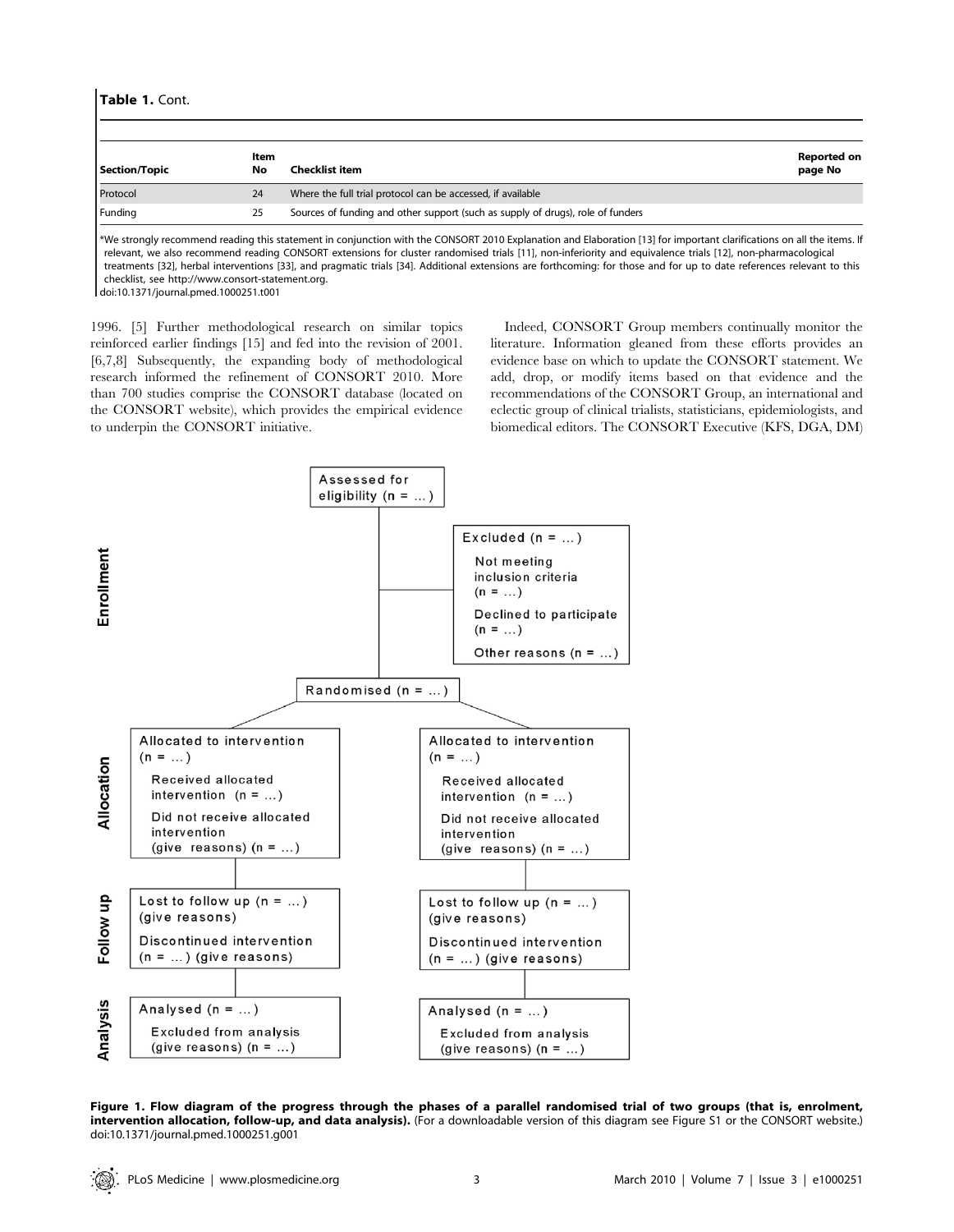Table 1. Cont.

| Section/Topic | ltem<br>No. | <b>Checklist item</b>                                                           | <b>Reported on</b><br>page No |
|---------------|-------------|---------------------------------------------------------------------------------|-------------------------------|
| Protocol      | 24          | Where the full trial protocol can be accessed, if available                     |                               |
| Funding       | 25          | Sources of funding and other support (such as supply of drugs), role of funders |                               |
|               |             |                                                                                 |                               |

\*We strongly recommend reading this statement in conjunction with the CONSORT 2010 Explanation and Elaboration [13] for important clarifications on all the items. If relevant, we also recommend reading CONSORT extensions for cluster randomised trials [11], non-inferiority and equivalence trials [12], non-pharmacological treatments [32], herbal interventions [33], and pragmatic trials [34]. Additional extensions are forthcoming: for those and for up to date references relevant to this checklist, see http://www.consort-statement.org.

doi:10.1371/journal.pmed.1000251.t001

1996. [5] Further methodological research on similar topics reinforced earlier findings [15] and fed into the revision of 2001. [6,7,8] Subsequently, the expanding body of methodological research informed the refinement of CONSORT 2010. More than 700 studies comprise the CONSORT database (located on the CONSORT website), which provides the empirical evidence to underpin the CONSORT initiative.

Indeed, CONSORT Group members continually monitor the literature. Information gleaned from these efforts provides an evidence base on which to update the CONSORT statement. We add, drop, or modify items based on that evidence and the recommendations of the CONSORT Group, an international and eclectic group of clinical trialists, statisticians, epidemiologists, and biomedical editors. The CONSORT Executive (KFS, DGA, DM)



Figure 1. Flow diagram of the progress through the phases of a parallel randomised trial of two groups (that is, enrolment, intervention allocation, follow-up, and data analysis). (For a downloadable version of this diagram see Figure S1 or the CONSORT website.) doi:10.1371/journal.pmed.1000251.g001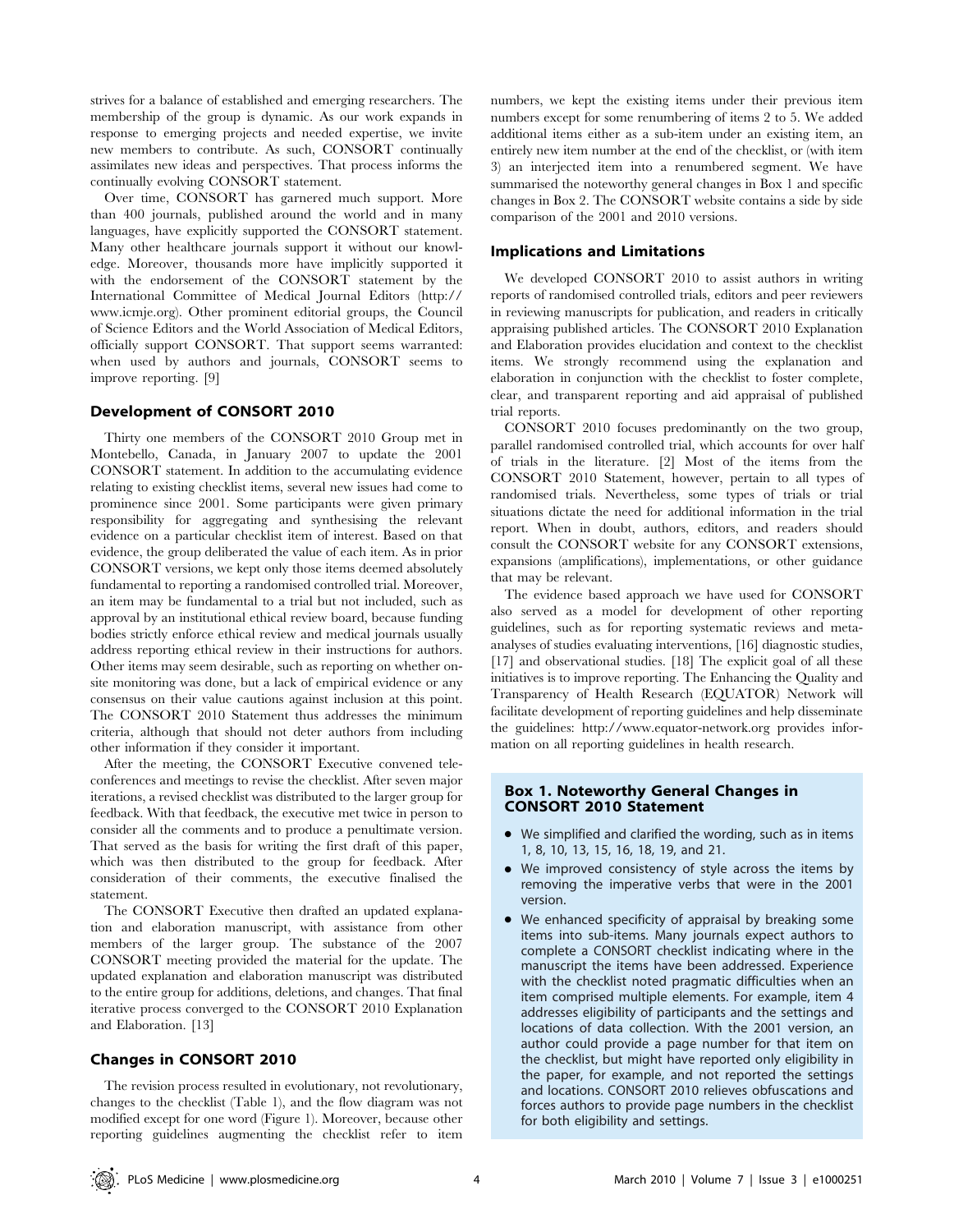strives for a balance of established and emerging researchers. The membership of the group is dynamic. As our work expands in response to emerging projects and needed expertise, we invite new members to contribute. As such, CONSORT continually assimilates new ideas and perspectives. That process informs the continually evolving CONSORT statement.

Over time, CONSORT has garnered much support. More than 400 journals, published around the world and in many languages, have explicitly supported the CONSORT statement. Many other healthcare journals support it without our knowledge. Moreover, thousands more have implicitly supported it with the endorsement of the CONSORT statement by the International Committee of Medical Journal Editors (http:// www.icmje.org). Other prominent editorial groups, the Council of Science Editors and the World Association of Medical Editors, officially support CONSORT. That support seems warranted: when used by authors and journals, CONSORT seems to improve reporting. [9]

#### Development of CONSORT 2010

Thirty one members of the CONSORT 2010 Group met in Montebello, Canada, in January 2007 to update the 2001 CONSORT statement. In addition to the accumulating evidence relating to existing checklist items, several new issues had come to prominence since 2001. Some participants were given primary responsibility for aggregating and synthesising the relevant evidence on a particular checklist item of interest. Based on that evidence, the group deliberated the value of each item. As in prior CONSORT versions, we kept only those items deemed absolutely fundamental to reporting a randomised controlled trial. Moreover, an item may be fundamental to a trial but not included, such as approval by an institutional ethical review board, because funding bodies strictly enforce ethical review and medical journals usually address reporting ethical review in their instructions for authors. Other items may seem desirable, such as reporting on whether onsite monitoring was done, but a lack of empirical evidence or any consensus on their value cautions against inclusion at this point. The CONSORT 2010 Statement thus addresses the minimum criteria, although that should not deter authors from including other information if they consider it important.

After the meeting, the CONSORT Executive convened teleconferences and meetings to revise the checklist. After seven major iterations, a revised checklist was distributed to the larger group for feedback. With that feedback, the executive met twice in person to consider all the comments and to produce a penultimate version. That served as the basis for writing the first draft of this paper, which was then distributed to the group for feedback. After consideration of their comments, the executive finalised the statement.

The CONSORT Executive then drafted an updated explanation and elaboration manuscript, with assistance from other members of the larger group. The substance of the 2007 CONSORT meeting provided the material for the update. The updated explanation and elaboration manuscript was distributed to the entire group for additions, deletions, and changes. That final iterative process converged to the CONSORT 2010 Explanation and Elaboration. [13]

#### Changes in CONSORT 2010

The revision process resulted in evolutionary, not revolutionary, changes to the checklist (Table 1), and the flow diagram was not modified except for one word (Figure 1). Moreover, because other reporting guidelines augmenting the checklist refer to item numbers, we kept the existing items under their previous item numbers except for some renumbering of items 2 to 5. We added additional items either as a sub-item under an existing item, an entirely new item number at the end of the checklist, or (with item 3) an interjected item into a renumbered segment. We have summarised the noteworthy general changes in Box 1 and specific changes in Box 2. The CONSORT website contains a side by side comparison of the 2001 and 2010 versions.

#### Implications and Limitations

We developed CONSORT 2010 to assist authors in writing reports of randomised controlled trials, editors and peer reviewers in reviewing manuscripts for publication, and readers in critically appraising published articles. The CONSORT 2010 Explanation and Elaboration provides elucidation and context to the checklist items. We strongly recommend using the explanation and elaboration in conjunction with the checklist to foster complete, clear, and transparent reporting and aid appraisal of published trial reports.

CONSORT 2010 focuses predominantly on the two group, parallel randomised controlled trial, which accounts for over half of trials in the literature. [2] Most of the items from the CONSORT 2010 Statement, however, pertain to all types of randomised trials. Nevertheless, some types of trials or trial situations dictate the need for additional information in the trial report. When in doubt, authors, editors, and readers should consult the CONSORT website for any CONSORT extensions, expansions (amplifications), implementations, or other guidance that may be relevant.

The evidence based approach we have used for CONSORT also served as a model for development of other reporting guidelines, such as for reporting systematic reviews and metaanalyses of studies evaluating interventions, [16] diagnostic studies, [17] and observational studies. [18] The explicit goal of all these initiatives is to improve reporting. The Enhancing the Quality and Transparency of Health Research (EQUATOR) Network will facilitate development of reporting guidelines and help disseminate the guidelines: http://www.equator-network.org provides information on all reporting guidelines in health research.

#### Box 1. Noteworthy General Changes in CONSORT 2010 Statement

- $\bullet$  We simplified and clarified the wording, such as in items 1, 8, 10, 13, 15, 16, 18, 19, and 21.
- We improved consistency of style across the items by removing the imperative verbs that were in the 2001 version.
- We enhanced specificity of appraisal by breaking some items into sub-items. Many journals expect authors to complete a CONSORT checklist indicating where in the manuscript the items have been addressed. Experience with the checklist noted pragmatic difficulties when an item comprised multiple elements. For example, item 4 addresses eligibility of participants and the settings and locations of data collection. With the 2001 version, an author could provide a page number for that item on the checklist, but might have reported only eligibility in the paper, for example, and not reported the settings and locations. CONSORT 2010 relieves obfuscations and forces authors to provide page numbers in the checklist for both eligibility and settings.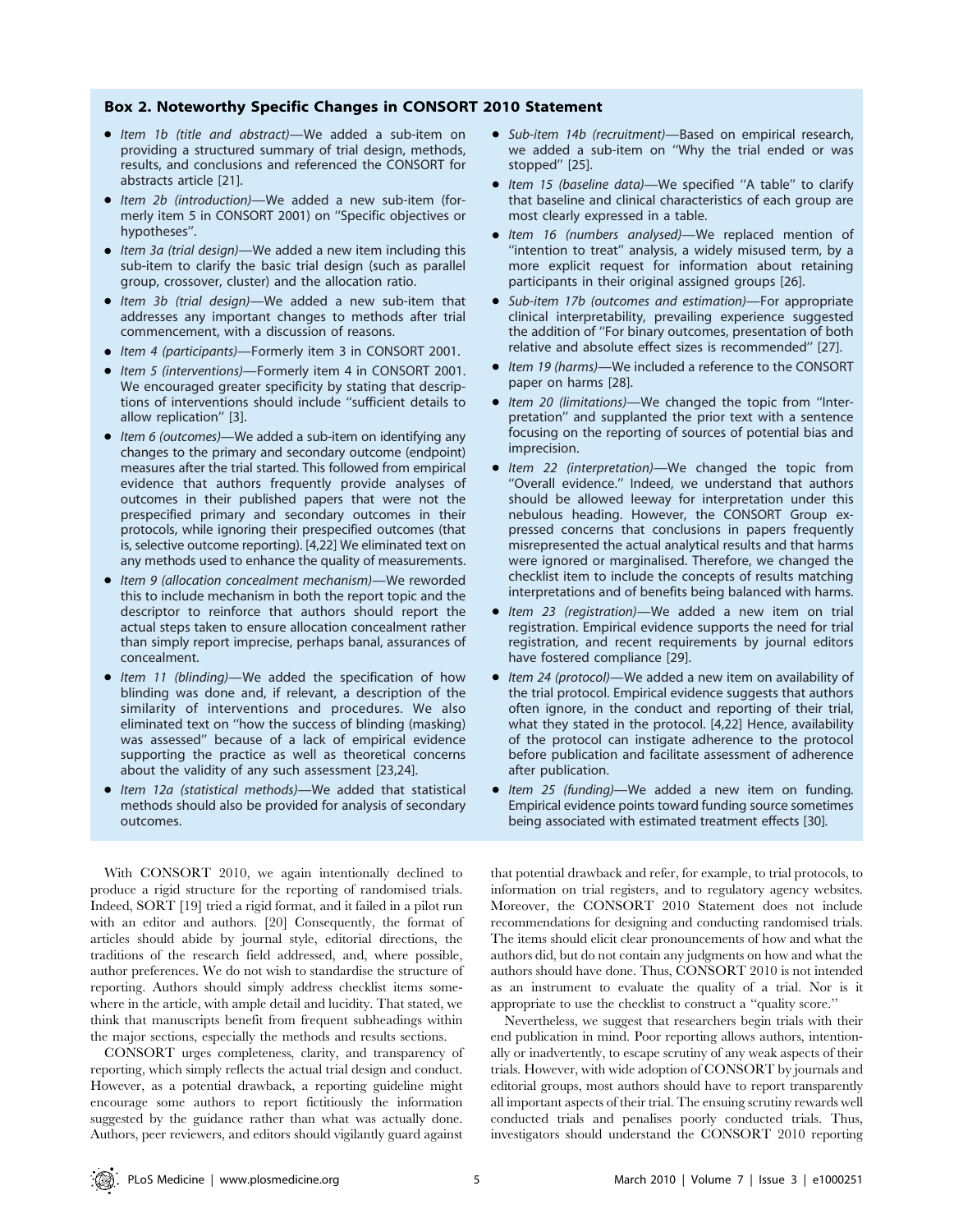#### Box 2. Noteworthy Specific Changes in CONSORT 2010 Statement

- Item 1b (title and abstract)—We added a sub-item on providing a structured summary of trial design, methods, results, and conclusions and referenced the CONSORT for abstracts article [21].
- Item 2b (introduction)—We added a new sub-item (formerly item 5 in CONSORT 2001) on ''Specific objectives or hypotheses''.
- $\bullet$  Item 3a (trial design)—We added a new item including this sub-item to clarify the basic trial design (such as parallel group, crossover, cluster) and the allocation ratio.
- Item 3b (trial design)—We added a new sub-item that addresses any important changes to methods after trial commencement, with a discussion of reasons.
- Item 4 (participants)—Formerly item 3 in CONSORT 2001.
- Item 5 (interventions)-Formerly item 4 in CONSORT 2001. We encouraged greater specificity by stating that descriptions of interventions should include ''sufficient details to allow replication'' [3].
- $\bullet$  Item 6 (outcomes)—We added a sub-item on identifying any changes to the primary and secondary outcome (endpoint) measures after the trial started. This followed from empirical evidence that authors frequently provide analyses of outcomes in their published papers that were not the prespecified primary and secondary outcomes in their protocols, while ignoring their prespecified outcomes (that is, selective outcome reporting). [4,22] We eliminated text on any methods used to enhance the quality of measurements.
- Item 9 (allocation concealment mechanism)—We reworded this to include mechanism in both the report topic and the descriptor to reinforce that authors should report the actual steps taken to ensure allocation concealment rather than simply report imprecise, perhaps banal, assurances of concealment.
- Item 11 (blinding)—We added the specification of how blinding was done and, if relevant, a description of the similarity of interventions and procedures. We also eliminated text on ''how the success of blinding (masking) was assessed'' because of a lack of empirical evidence supporting the practice as well as theoretical concerns about the validity of any such assessment [23,24].
- Item 12a (statistical methods)—We added that statistical methods should also be provided for analysis of secondary outcomes.

With CONSORT 2010, we again intentionally declined to produce a rigid structure for the reporting of randomised trials. Indeed, SORT [19] tried a rigid format, and it failed in a pilot run with an editor and authors. [20] Consequently, the format of articles should abide by journal style, editorial directions, the traditions of the research field addressed, and, where possible, author preferences. We do not wish to standardise the structure of reporting. Authors should simply address checklist items somewhere in the article, with ample detail and lucidity. That stated, we think that manuscripts benefit from frequent subheadings within the major sections, especially the methods and results sections.

CONSORT urges completeness, clarity, and transparency of reporting, which simply reflects the actual trial design and conduct. However, as a potential drawback, a reporting guideline might encourage some authors to report fictitiously the information suggested by the guidance rather than what was actually done. Authors, peer reviewers, and editors should vigilantly guard against

- Sub-item 14b (recruitment)—Based on empirical research, we added a sub-item on ''Why the trial ended or was stopped'' [25].
- Item 15 (baseline data)—We specified "A table" to clarify that baseline and clinical characteristics of each group are most clearly expressed in a table.
- Item 16 (numbers analysed)—We replaced mention of "intention to treat" analysis, a widely misused term, by a more explicit request for information about retaining participants in their original assigned groups [26].
- Sub-item 17b (outcomes and estimation)—For appropriate clinical interpretability, prevailing experience suggested the addition of ''For binary outcomes, presentation of both relative and absolute effect sizes is recommended'' [27].
- Item 19 (harms)—We included a reference to the CONSORT paper on harms [28].
- Item 20 (limitations)—We changed the topic from "Interpretation'' and supplanted the prior text with a sentence focusing on the reporting of sources of potential bias and imprecision.
- Item 22 (interpretation)—We changed the topic from ''Overall evidence.'' Indeed, we understand that authors should be allowed leeway for interpretation under this nebulous heading. However, the CONSORT Group expressed concerns that conclusions in papers frequently misrepresented the actual analytical results and that harms were ignored or marginalised. Therefore, we changed the checklist item to include the concepts of results matching interpretations and of benefits being balanced with harms.
- Item 23 (registration)—We added a new item on trial registration. Empirical evidence supports the need for trial registration, and recent requirements by journal editors have fostered compliance [29].
- Item 24 (protocol)—We added a new item on availability of the trial protocol. Empirical evidence suggests that authors often ignore, in the conduct and reporting of their trial, what they stated in the protocol. [4,22] Hence, availability of the protocol can instigate adherence to the protocol before publication and facilitate assessment of adherence after publication.
- Item 25 (funding)—We added a new item on funding. Empirical evidence points toward funding source sometimes being associated with estimated treatment effects [30].

that potential drawback and refer, for example, to trial protocols, to information on trial registers, and to regulatory agency websites. Moreover, the CONSORT 2010 Statement does not include recommendations for designing and conducting randomised trials. The items should elicit clear pronouncements of how and what the authors did, but do not contain any judgments on how and what the authors should have done. Thus, CONSORT 2010 is not intended as an instrument to evaluate the quality of a trial. Nor is it appropriate to use the checklist to construct a ''quality score.''

Nevertheless, we suggest that researchers begin trials with their end publication in mind. Poor reporting allows authors, intentionally or inadvertently, to escape scrutiny of any weak aspects of their trials. However, with wide adoption of CONSORT by journals and editorial groups, most authors should have to report transparently all important aspects of their trial. The ensuing scrutiny rewards well conducted trials and penalises poorly conducted trials. Thus, investigators should understand the CONSORT 2010 reporting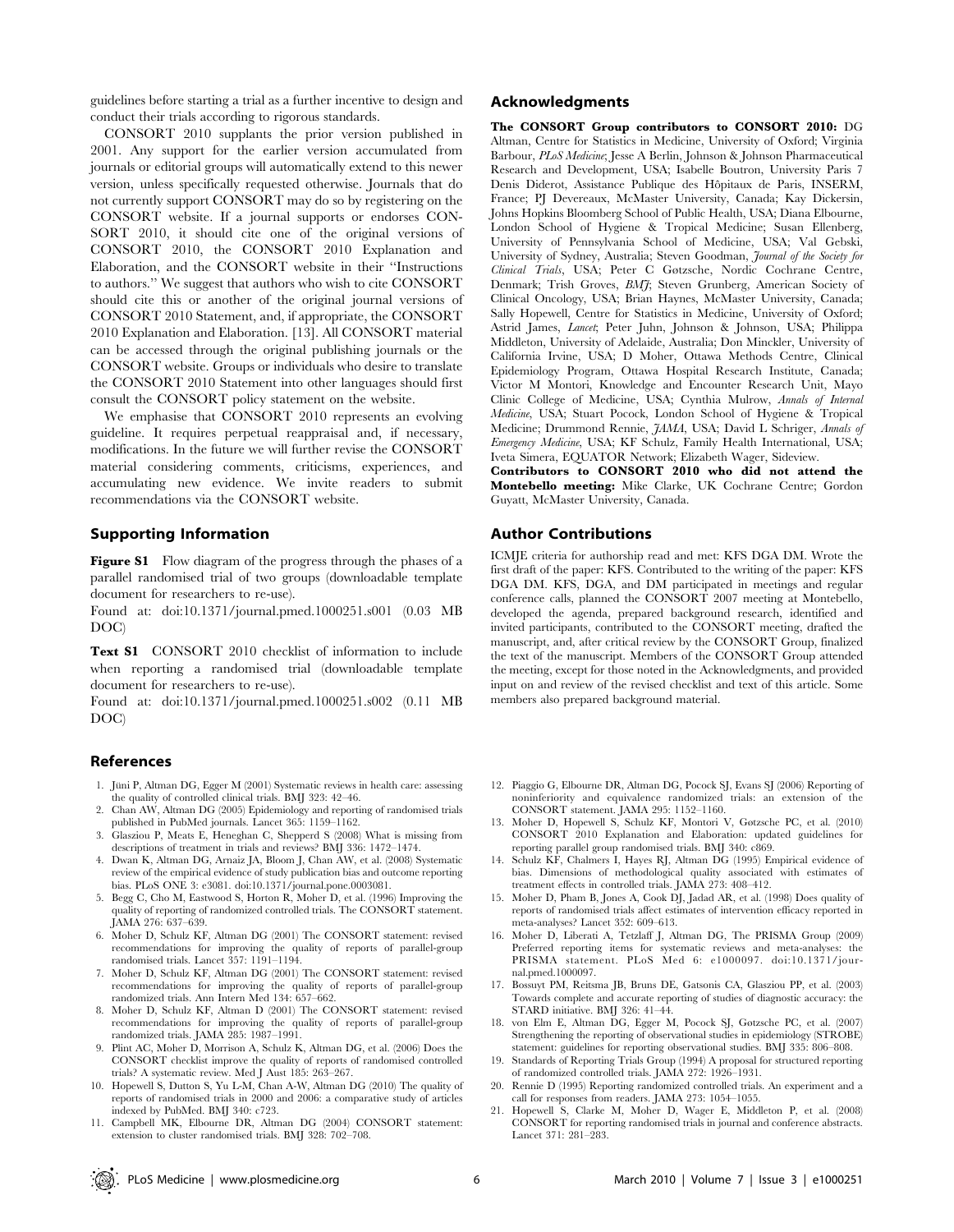guidelines before starting a trial as a further incentive to design and conduct their trials according to rigorous standards.

CONSORT 2010 supplants the prior version published in 2001. Any support for the earlier version accumulated from journals or editorial groups will automatically extend to this newer version, unless specifically requested otherwise. Journals that do not currently support CONSORT may do so by registering on the CONSORT website. If a journal supports or endorses CON-SORT 2010, it should cite one of the original versions of CONSORT 2010, the CONSORT 2010 Explanation and Elaboration, and the CONSORT website in their ''Instructions to authors.'' We suggest that authors who wish to cite CONSORT should cite this or another of the original journal versions of CONSORT 2010 Statement, and, if appropriate, the CONSORT 2010 Explanation and Elaboration. [13]. All CONSORT material can be accessed through the original publishing journals or the CONSORT website. Groups or individuals who desire to translate the CONSORT 2010 Statement into other languages should first consult the CONSORT policy statement on the website.

We emphasise that CONSORT 2010 represents an evolving guideline. It requires perpetual reappraisal and, if necessary, modifications. In the future we will further revise the CONSORT material considering comments, criticisms, experiences, and accumulating new evidence. We invite readers to submit recommendations via the CONSORT website.

#### Supporting Information

Figure S1 Flow diagram of the progress through the phases of a parallel randomised trial of two groups (downloadable template document for researchers to re-use).

Found at: doi:10.1371/journal.pmed.1000251.s001 (0.03 MB DOC)

Text S1 CONSORT 2010 checklist of information to include when reporting a randomised trial (downloadable template document for researchers to re-use).

Found at: doi:10.1371/journal.pmed.1000251.s002 (0.11 MB DOC)

#### References

- 1. Juni P, Altman DG, Egger M (2001) Systematic reviews in health care: assessing the quality of controlled clinical trials. BMJ 323: 42–46.
- 2. Chan AW, Altman DG (2005) Epidemiology and reporting of randomised trials published in PubMed journals. Lancet 365: 1159–1162.
- 3. Glasziou P, Meats E, Heneghan C, Shepperd S (2008) What is missing from descriptions of treatment in trials and reviews? BMJ 336: 1472–1474.
- 4. Dwan K, Altman DG, Arnaiz JA, Bloom J, Chan AW, et al. (2008) Systematic review of the empirical evidence of study publication bias and outcome reporting bias. PLoS ONE 3: e3081. doi:10.1371/journal.pone.0003081.
- 5. Begg C, Cho M, Eastwood S, Horton R, Moher D, et al. (1996) Improving the quality of reporting of randomized controlled trials. The CONSORT statement. JAMA 276: 637–639.
- 6. Moher D, Schulz KF, Altman DG (2001) The CONSORT statement: revised recommendations for improving the quality of reports of parallel-group randomised trials. Lancet 357: 1191–1194.
- 7. Moher D, Schulz KF, Altman DG (2001) The CONSORT statement: revised recommendations for improving the quality of reports of parallel-group randomized trials. Ann Intern Med 134: 657–662.
- 8. Moher D, Schulz KF, Altman D (2001) The CONSORT statement: revised recommendations for improving the quality of reports of parallel-group randomized trials. JAMA 285: 1987–1991.
- 9. Plint AC, Moher D, Morrison A, Schulz K, Altman DG, et al. (2006) Does the CONSORT checklist improve the quality of reports of randomised controlled trials? A systematic review. Med J Aust 185: 263–267.
- 10. Hopewell S, Dutton S, Yu L-M, Chan A-W, Altman DG (2010) The quality of reports of randomised trials in 2000 and 2006: a comparative study of articles indexed by PubMed. BMJ 340: c723.
- 11. Campbell MK, Elbourne DR, Altman DG (2004) CONSORT statement: extension to cluster randomised trials. BMJ 328: 702–708.

#### Acknowledgments

The CONSORT Group contributors to CONSORT 2010: DG Altman, Centre for Statistics in Medicine, University of Oxford; Virginia Barbour, PLoS Medicine; Jesse A Berlin, Johnson & Johnson Pharmaceutical Research and Development, USA; Isabelle Boutron, University Paris 7 Denis Diderot, Assistance Publique des Hôpitaux de Paris, INSERM, France; PJ Devereaux, McMaster University, Canada; Kay Dickersin, Johns Hopkins Bloomberg School of Public Health, USA; Diana Elbourne, London School of Hygiene & Tropical Medicine; Susan Ellenberg, University of Pennsylvania School of Medicine, USA; Val Gebski, University of Sydney, Australia; Steven Goodman, Journal of the Society for Clinical Trials, USA; Peter C Gøtzsche, Nordic Cochrane Centre, Denmark; Trish Groves, BMJ; Steven Grunberg, American Society of Clinical Oncology, USA; Brian Haynes, McMaster University, Canada; Sally Hopewell, Centre for Statistics in Medicine, University of Oxford; Astrid James, Lancet; Peter Juhn, Johnson & Johnson, USA; Philippa Middleton, University of Adelaide, Australia; Don Minckler, University of California Irvine, USA; D Moher, Ottawa Methods Centre, Clinical Epidemiology Program, Ottawa Hospital Research Institute, Canada; Victor M Montori, Knowledge and Encounter Research Unit, Mayo Clinic College of Medicine, USA; Cynthia Mulrow, Annals of Internal Medicine, USA; Stuart Pocock, London School of Hygiene & Tropical Medicine; Drummond Rennie, JAMA, USA; David L Schriger, Annals of Emergency Medicine, USA; KF Schulz, Family Health International, USA; Iveta Simera, EQUATOR Network; Elizabeth Wager, Sideview.

Contributors to CONSORT 2010 who did not attend the Montebello meeting: Mike Clarke, UK Cochrane Centre; Gordon Guyatt, McMaster University, Canada.

#### Author Contributions

ICMJE criteria for authorship read and met: KFS DGA DM. Wrote the first draft of the paper: KFS. Contributed to the writing of the paper: KFS DGA DM. KFS, DGA, and DM participated in meetings and regular conference calls, planned the CONSORT 2007 meeting at Montebello, developed the agenda, prepared background research, identified and invited participants, contributed to the CONSORT meeting, drafted the manuscript, and, after critical review by the CONSORT Group, finalized the text of the manuscript. Members of the CONSORT Group attended the meeting, except for those noted in the Acknowledgments, and provided input on and review of the revised checklist and text of this article. Some members also prepared background material.

- 12. Piaggio G, Elbourne DR, Altman DG, Pocock SJ, Evans SJ (2006) Reporting of noninferiority and equivalence randomized trials: an extension of the CONSORT statement. JAMA 295: 1152–1160.
- 13. Moher D, Hopewell S, Schulz KF, Montori V, Gøtzsche PC, et al. (2010) CONSORT 2010 Explanation and Elaboration: updated guidelines for reporting parallel group randomised trials. BMJ 340: c869.
- 14. Schulz KF, Chalmers I, Hayes RJ, Altman DG (1995) Empirical evidence of bias. Dimensions of methodological quality associated with estimates of treatment effects in controlled trials. JAMA 273: 408–412.
- 15. Moher D, Pham B, Jones A, Cook DJ, Jadad AR, et al. (1998) Does quality of reports of randomised trials affect estimates of intervention efficacy reported in meta-analyses? Lancet 352: 609–613.
- 16. Moher D, Liberati A, Tetzlaff J, Altman DG, The PRISMA Group (2009) Preferred reporting items for systematic reviews and meta-analyses: the PRISMA statement. PLoS Med 6: e1000097. doi:10.1371/journal.pmed.1000097.
- 17. Bossuyt PM, Reitsma JB, Bruns DE, Gatsonis CA, Glasziou PP, et al. (2003) Towards complete and accurate reporting of studies of diagnostic accuracy: the STARD initiative. BMJ 326: 41–44.
- 18. von Elm E, Altman DG, Egger M, Pocock SJ, Gøtzsche PC, et al. (2007) Strengthening the reporting of observational studies in epidemiology (STROBE) statement: guidelines for reporting observational studies. BMJ 335: 806–808.
- 19. Standards of Reporting Trials Group (1994) A proposal for structured reporting of randomized controlled trials. JAMA 272: 1926–1931.
- 20. Rennie D (1995) Reporting randomized controlled trials. An experiment and a call for responses from readers. JAMA 273: 1054–1055.
- 21. Hopewell S, Clarke M, Moher D, Wager E, Middleton P, et al. (2008) CONSORT for reporting randomised trials in journal and conference abstracts. Lancet 371: 281–283.